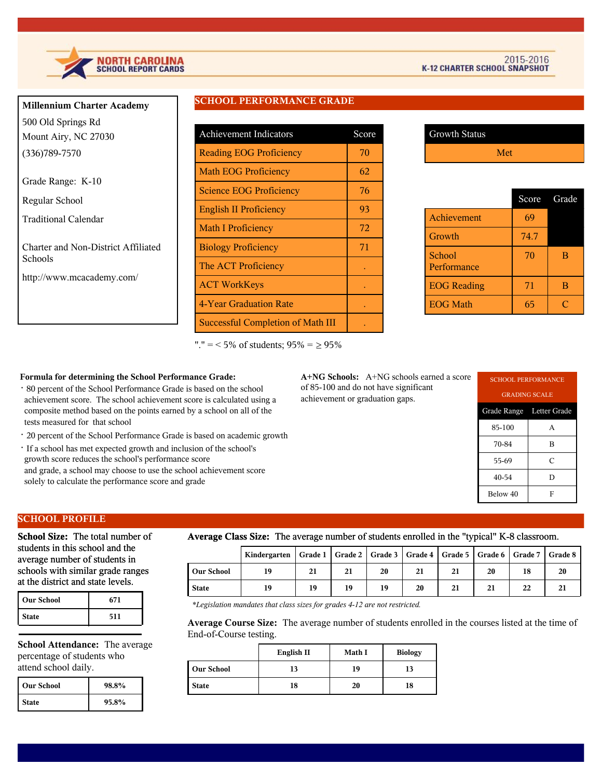

| <b>Millennium Charter Academy</b> |
|-----------------------------------|
| 500 Old Springs Rd                |
| Mount Airy, NC 27030              |
| $(336)789 - 7570$                 |
| Grade Range: K-10                 |

Regular School

Traditional Calendar

Charter and Non-District Affiliated Schools

http://www.mcacademy.com/

## **SCHOOL PERFORMANCE GRADE**

| <b>Achievement Indicators</b>            | Score |
|------------------------------------------|-------|
| <b>Reading EOG Proficiency</b>           | 70    |
| <b>Math EOG Proficiency</b>              | 62    |
| <b>Science EOG Proficiency</b>           | 76    |
| <b>English II Proficiency</b>            | 93    |
| <b>Math I Proficiency</b>                | 72    |
| <b>Biology Proficiency</b>               | 71    |
| The ACT Proficiency                      |       |
| <b>ACT WorkKeys</b>                      |       |
| 4-Year Graduation Rate                   |       |
| <b>Successful Completion of Math III</b> |       |

Growth Status Met

|                       | Score | Grade |
|-----------------------|-------|-------|
| Achievement           | 69    |       |
| Growth                | 74.7  |       |
| School<br>Performance | 70    | в     |
| <b>EOG Reading</b>    | 71    | в     |
| <b>EOG Math</b>       | 65    |       |

"."  $=$  < 5% of students;  $95\% = \geq 95\%$ 

### **Formula for determining the School Performance Grade:**

- · 80 percent of the School Performance Grade is based on the school achievement score. The school achievement score is calculated using a composite method based on the points earned by a school on all of the tests measured for that school
- · 20 percent of the School Performance Grade is based on academic growth
- · If a school has met expected growth and inclusion of the school's growth score reduces the school's performance score and grade, a school may choose to use the school achievement score solely to calculate the performance score and grade

**A+NG Schools:** A+NG schools earned a score of 85-100 and do not have significant achievement or graduation gaps.

| <b>SCHOOL PERFORMANCE</b> |   |  |  |  |
|---------------------------|---|--|--|--|
| <b>GRADING SCALE</b>      |   |  |  |  |
| Grade Range Letter Grade  |   |  |  |  |
| 85-100                    | A |  |  |  |
| 70-84<br>в                |   |  |  |  |
| C<br>55-69                |   |  |  |  |
| 40-54<br>D                |   |  |  |  |
| Below 40<br>F             |   |  |  |  |

## **SCHOOL PROFILE**

**School Size:** The total number of students in this school and the average number of students in schools with similar grade ranges at the district and state levels.

| <b>Our School</b> | 671 |
|-------------------|-----|
| <b>State</b>      | 511 |

**School Attendance:** The average percentage of students who attend school daily.

| l Our School | 98.8% |
|--------------|-------|
| <b>State</b> | 95.8% |

#### **Average Class Size:** The average number of students enrolled in the "typical" K-8 classroom.

|              | Kindergarten   Grade 1   Grade 2   Grade 3   Grade 4   Grade 5   Grade 6   Grade 7   Grade 8 |    |    |    |    |    |    |    |    |
|--------------|----------------------------------------------------------------------------------------------|----|----|----|----|----|----|----|----|
| l Our School | 19                                                                                           | 21 | 21 | 20 | 21 |    | 20 | 18 | 20 |
| State        | 19                                                                                           | 19 | 19 | 19 | 20 | 21 | 21 | 22 |    |

*\*Legislation mandates that class sizes for grades 4-12 are not restricted.*

**Average Course Size:** The average number of students enrolled in the courses listed at the time of End-of-Course testing.

|                   | English II | Math I | <b>Biology</b> |
|-------------------|------------|--------|----------------|
| <b>Our School</b> | 13         | 19     |                |
| <b>State</b>      | 18         | 20     | 18             |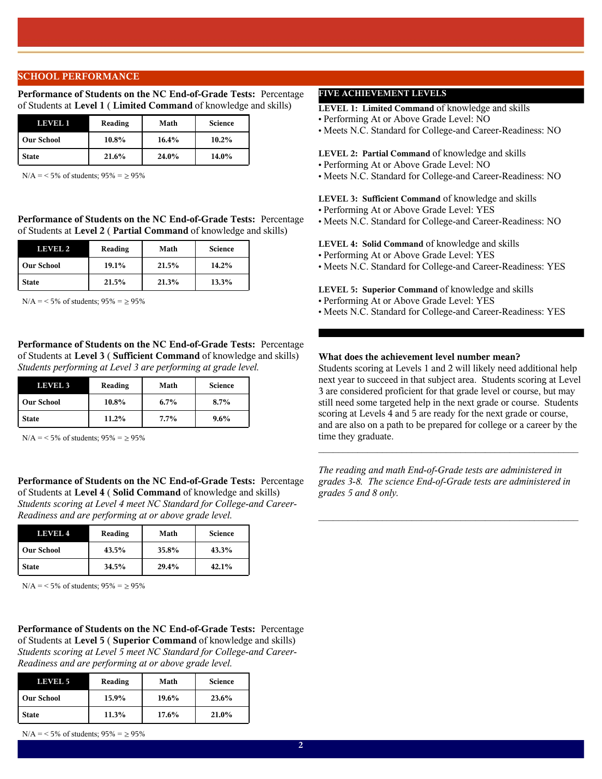### **SCHOOL PERFORMANCE**

**Performance of Students on the NC End-of-Grade Tests:** Percentage of Students at **Level 1** ( **Limited Command** of knowledge and skills)

| LEVEL 1           | Reading | Math  | <b>Science</b> |
|-------------------|---------|-------|----------------|
| <b>Our School</b> | 10.8%   | 16.4% | $10.2\%$       |
| <b>State</b>      | 21.6%   | 24.0% | 14.0%          |

 $N/A = 5\%$  of students;  $95\% = \ge 95\%$ 

**Performance of Students on the NC End-of-Grade Tests:** Percentage of Students at **Level 2** ( **Partial Command** of knowledge and skills)

| LEVEL 2           | Reading | Math  | <b>Science</b> |
|-------------------|---------|-------|----------------|
| <b>Our School</b> | 19.1%   | 21.5% | 14.2%          |
| <b>State</b>      | 21.5%   | 21.3% | 13.3%          |

 $N/A = 5\%$  of students;  $95\% = 95\%$ 

**Performance of Students on the NC End-of-Grade Tests:** Percentage of Students at **Level 3** ( **Sufficient Command** of knowledge and skills) *Students performing at Level 3 are performing at grade level.*

| <b>LEVEL 3</b>    | Reading | Math    | <b>Science</b> |
|-------------------|---------|---------|----------------|
| <b>Our School</b> | 10.8%   | $6.7\%$ | $8.7\%$        |
| <b>State</b>      | 11.2%   | $7.7\%$ | $9.6\%$        |

 $N/A = 5\%$  of students;  $95\% = \ge 95\%$ 

**Performance of Students on the NC End-of-Grade Tests:** Percentage of Students at **Level 4** ( **Solid Command** of knowledge and skills) *Students scoring at Level 4 meet NC Standard for College-and Career-Readiness and are performing at or above grade level.*

| LEVEL 4           | Reading | Math  | <b>Science</b> |
|-------------------|---------|-------|----------------|
| <b>Our School</b> | 43.5%   | 35.8% | 43.3%          |
| <b>State</b>      | 34.5%   | 29.4% | 42.1%          |

 $N/A = 5\%$  of students;  $95\% = \ge 95\%$ 

**Performance of Students on the NC End-of-Grade Tests:** Percentage of Students at **Level 5** ( **Superior Command** of knowledge and skills) *Students scoring at Level 5 meet NC Standard for College-and Career-Readiness and are performing at or above grade level.*

| LEVEL 5           | Reading | Math  | <b>Science</b> |
|-------------------|---------|-------|----------------|
| <b>Our School</b> | 15.9%   | 19.6% | 23.6%          |
| <b>State</b>      | 11.3%   | 17.6% | 21.0%          |

 $N/A = 5\%$  of students;  $95\% = \ge 95\%$ 

# **FIVE ACHIEVEMENT LEVELS**

**LEVEL 1: Limited Command** of knowledge and skills

- Performing At or Above Grade Level: NO
- Meets N.C. Standard for College-and Career-Readiness: NO

**LEVEL 2: Partial Command** of knowledge and skills

- Performing At or Above Grade Level: NO
- Meets N.C. Standard for College-and Career-Readiness: NO

**LEVEL 3: Sufficient Command** of knowledge and skills

- Performing At or Above Grade Level: YES
- Meets N.C. Standard for College-and Career-Readiness: NO

#### **LEVEL 4: Solid Command** of knowledge and skills

- Performing At or Above Grade Level: YES
- Meets N.C. Standard for College-and Career-Readiness: YES

**LEVEL 5: Superior Command** of knowledge and skills

- Performing At or Above Grade Level: YES
- Meets N.C. Standard for College-and Career-Readiness: YES

## **What does the achievement level number mean?**

Students scoring at Levels 1 and 2 will likely need additional help next year to succeed in that subject area. Students scoring at Level 3 are considered proficient for that grade level or course, but may still need some targeted help in the next grade or course. Students scoring at Levels 4 and 5 are ready for the next grade or course, and are also on a path to be prepared for college or a career by the time they graduate.

 $\mathcal{L}_\text{max}$  and the contract of the contract of the contract of the contract of the contract of the contract of the contract of the contract of the contract of the contract of the contract of the contract of the contrac

*The reading and math End-of-Grade tests are administered in grades 3-8. The science End-of-Grade tests are administered in grades 5 and 8 only.*

 $\mathcal{L}_\text{max}$  and  $\mathcal{L}_\text{max}$  and  $\mathcal{L}_\text{max}$  and  $\mathcal{L}_\text{max}$  and  $\mathcal{L}_\text{max}$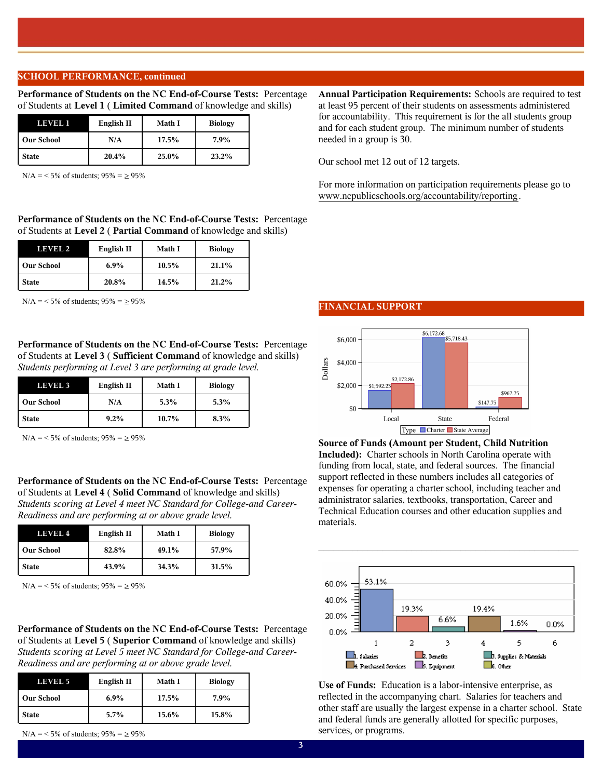### **SCHOOL PERFORMANCE, continued**

**Performance of Students on the NC End-of-Course Tests:** Percentage of Students at **Level 1** ( **Limited Command** of knowledge and skills)

| LEVEL 1           | English II | Math I | <b>Biology</b> |
|-------------------|------------|--------|----------------|
| <b>Our School</b> | N/A        | 17.5%  | 7.9%           |
| <b>State</b>      | 20.4%      | 25.0%  | 23.2%          |

 $N/A = 5\%$  of students;  $95\% = \ge 95\%$ 

**Performance of Students on the NC End-of-Course Tests:** Percentage of Students at **Level 2** ( **Partial Command** of knowledge and skills)

| LEVEL 2           | English II | Math I   | <b>Biology</b> |
|-------------------|------------|----------|----------------|
| <b>Our School</b> | 6.9%       | $10.5\%$ | 21.1%          |
| <b>State</b>      | 20.8%      | 14.5%    | 21.2%          |

 $N/A = 5\%$  of students;  $95\% = 95\%$ 

**Performance of Students on the NC End-of-Course Tests:** Percentage of Students at **Level 3** ( **Sufficient Command** of knowledge and skills) *Students performing at Level 3 are performing at grade level.*

| <b>LEVEL 3</b>    | English II | Math I | <b>Biology</b> |
|-------------------|------------|--------|----------------|
| <b>Our School</b> | N/A        | 5.3%   | 5.3%           |
| <b>State</b>      | 9.2%       | 10.7%  | 8.3%           |

 $N/A = 5\%$  of students;  $95\% = \ge 95\%$ 

**Performance of Students on the NC End-of-Course Tests:** Percentage of Students at **Level 4** ( **Solid Command** of knowledge and skills) *Students scoring at Level 4 meet NC Standard for College-and Career-Readiness and are performing at or above grade level.*

| LEVEL 4           | English II | Math I | <b>Biology</b> |
|-------------------|------------|--------|----------------|
| <b>Our School</b> | 82.8%      | 49.1%  | 57.9%          |
| <b>State</b>      | 43.9%      | 34.3%  | 31.5%          |

 $N/A = 5\%$  of students;  $95\% = \ge 95\%$ 

**Performance of Students on the NC End-of-Course Tests:** Percentage of Students at **Level 5** ( **Superior Command** of knowledge and skills) *Students scoring at Level 5 meet NC Standard for College-and Career-Readiness and are performing at or above grade level.*

| LEVEL 5           | English II |       | <b>Biology</b> |
|-------------------|------------|-------|----------------|
| <b>Our School</b> | 6.9%       | 17.5% | 7.9%           |
| <b>State</b>      | $5.7\%$    | 15.6% | 15.8%          |

 $N/A = 5\%$  of students;  $95\% = \ge 95\%$ 

#### **FINANCIAL SUPPORT**



**Source of Funds (Amount per Student, Child Nutrition Included):** Charter schools in North Carolina operate with funding from local, state, and federal sources. The financial support reflected in these numbers includes all categories of expenses for operating a charter school, including teacher and administrator salaries, textbooks, transportation, Career and Technical Education courses and other education supplies and materials.



 $\mathcal{L}_\text{max}$  and  $\mathcal{L}_\text{max}$  and  $\mathcal{L}_\text{max}$  and  $\mathcal{L}_\text{max}$  and  $\mathcal{L}_\text{max}$ 

**Use of Funds:** Education is a labor-intensive enterprise, as reflected in the accompanying chart. Salaries for teachers and other staff are usually the largest expense in a charter school. State and federal funds are generally allotted for specific purposes, services, or programs.

**Annual Participation Requirements:** Schools are required to test at least 95 percent of their students on assessments administered for accountability. This requirement is for the all students group and for each student group. The minimum number of students needed in a group is 30.

Our school met 12 out of 12 targets.

For more information on participation requirements please go to www.ncpublicschools.org/accountability/reporting.